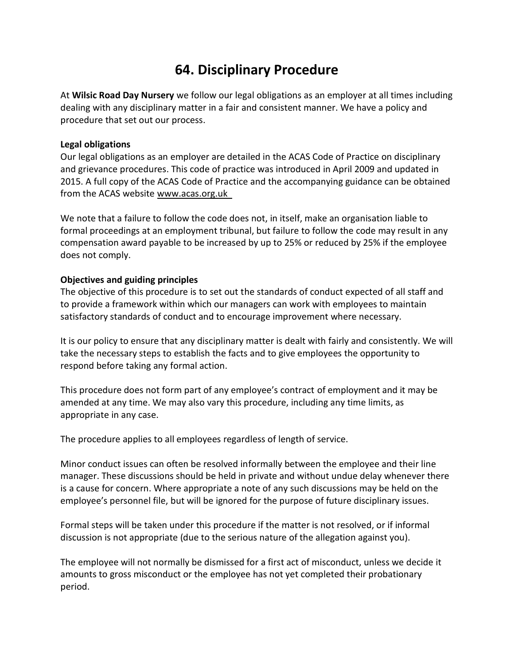# **64. Disciplinary Procedure**

At **Wilsic Road Day Nursery** we follow our legal obligations as an employer at all times including dealing with any disciplinary matter in a fair and consistent manner. We have a policy and procedure that set out our process.

# **Legal obligations**

Our legal obligations as an employer are detailed in the ACAS Code of Practice on disciplinary and grievance procedures. This code of practice was introduced in April 2009 and updated in 2015. A full copy of the ACAS Code of Practice and the accompanying guidance can be obtained from the ACAS website [www.acas.org.uk](http://www.acas.org.uk/) 

We note that a failure to follow the code does not, in itself, make an organisation liable to formal proceedings at an employment tribunal, but failure to follow the code may result in any compensation award payable to be increased by up to 25% or reduced by 25% if the employee does not comply.

# **Objectives and guiding principles**

The objective of this procedure is to set out the standards of conduct expected of all staff and to provide a framework within which our managers can work with employees to maintain satisfactory standards of conduct and to encourage improvement where necessary.

It is our policy to ensure that any disciplinary matter is dealt with fairly and consistently. We will take the necessary steps to establish the facts and to give employees the opportunity to respond before taking any formal action.

This procedure does not form part of any employee's contract of employment and it may be amended at any time. We may also vary this procedure, including any time limits, as appropriate in any case.

The procedure applies to all employees regardless of length of service.

Minor conduct issues can often be resolved informally between the employee and their line manager. These discussions should be held in private and without undue delay whenever there is a cause for concern. Where appropriate a note of any such discussions may be held on the employee's personnel file, but will be ignored for the purpose of future disciplinary issues.

Formal steps will be taken under this procedure if the matter is not resolved, or if informal discussion is not appropriate (due to the serious nature of the allegation against you).

The employee will not normally be dismissed for a first act of misconduct, unless we decide it amounts to gross misconduct or the employee has not yet completed their probationary period.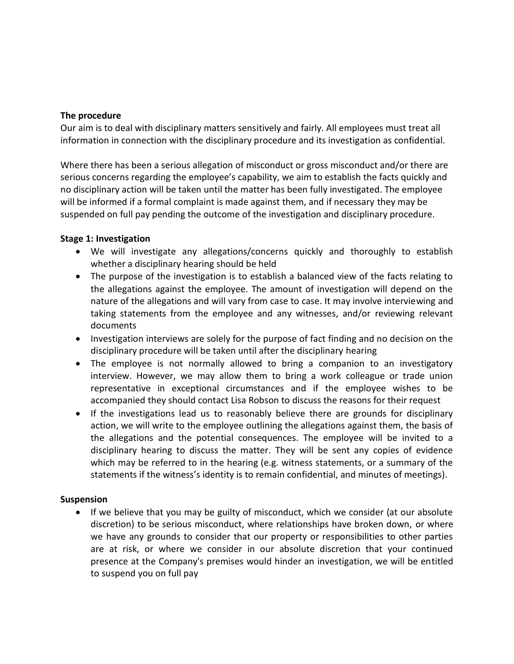## **The procedure**

Our aim is to deal with disciplinary matters sensitively and fairly. All employees must treat all information in connection with the disciplinary procedure and its investigation as confidential.

Where there has been a serious allegation of misconduct or gross misconduct and/or there are serious concerns regarding the employee's capability, we aim to establish the facts quickly and no disciplinary action will be taken until the matter has been fully investigated. The employee will be informed if a formal complaint is made against them, and if necessary they may be suspended on full pay pending the outcome of the investigation and disciplinary procedure.

# **Stage 1: Investigation**

- We will investigate any allegations/concerns quickly and thoroughly to establish whether a disciplinary hearing should be held
- The purpose of the investigation is to establish a balanced view of the facts relating to the allegations against the employee. The amount of investigation will depend on the nature of the allegations and will vary from case to case. It may involve interviewing and taking statements from the employee and any witnesses, and/or reviewing relevant documents
- Investigation interviews are solely for the purpose of fact finding and no decision on the disciplinary procedure will be taken until after the disciplinary hearing
- The employee is not normally allowed to bring a companion to an investigatory interview. However, we may allow them to bring a work colleague or trade union representative in exceptional circumstances and if the employee wishes to be accompanied they should contact Lisa Robson to discuss the reasons for their request
- If the investigations lead us to reasonably believe there are grounds for disciplinary action, we will write to the employee outlining the allegations against them, the basis of the allegations and the potential consequences. The employee will be invited to a disciplinary hearing to discuss the matter. They will be sent any copies of evidence which may be referred to in the hearing (e.g. witness statements, or a summary of the statements if the witness's identity is to remain confidential, and minutes of meetings).

## **Suspension**

• If we believe that you may be guilty of misconduct, which we consider (at our absolute discretion) to be serious misconduct, where relationships have broken down, or where we have any grounds to consider that our property or responsibilities to other parties are at risk, or where we consider in our absolute discretion that your continued presence at the Company's premises would hinder an investigation, we will be entitled to suspend you on full pay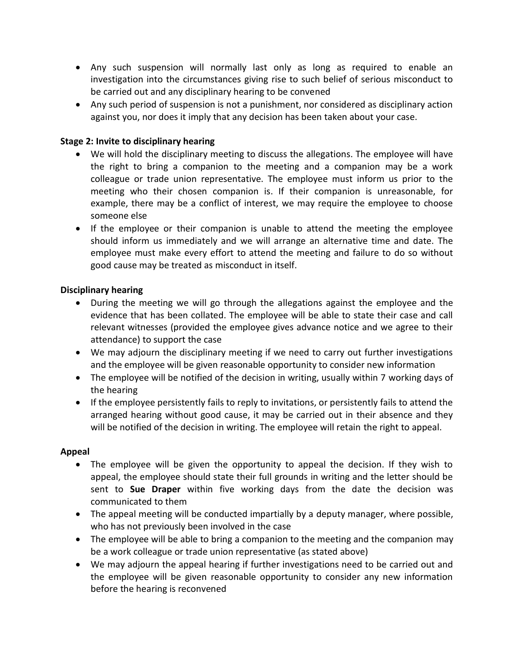- Any such suspension will normally last only as long as required to enable an investigation into the circumstances giving rise to such belief of serious misconduct to be carried out and any disciplinary hearing to be convened
- Any such period of suspension is not a punishment, nor considered as disciplinary action against you, nor does it imply that any decision has been taken about your case.

# **Stage 2: Invite to disciplinary hearing**

- We will hold the disciplinary meeting to discuss the allegations. The employee will have the right to bring a companion to the meeting and a companion may be a work colleague or trade union representative. The employee must inform us prior to the meeting who their chosen companion is. If their companion is unreasonable, for example, there may be a conflict of interest, we may require the employee to choose someone else
- If the employee or their companion is unable to attend the meeting the employee should inform us immediately and we will arrange an alternative time and date. The employee must make every effort to attend the meeting and failure to do so without good cause may be treated as misconduct in itself.

# **Disciplinary hearing**

- During the meeting we will go through the allegations against the employee and the evidence that has been collated. The employee will be able to state their case and call relevant witnesses (provided the employee gives advance notice and we agree to their attendance) to support the case
- We may adjourn the disciplinary meeting if we need to carry out further investigations and the employee will be given reasonable opportunity to consider new information
- The employee will be notified of the decision in writing, usually within 7 working days of the hearing
- If the employee persistently fails to reply to invitations, or persistently fails to attend the arranged hearing without good cause, it may be carried out in their absence and they will be notified of the decision in writing. The employee will retain the right to appeal.

# **Appeal**

- The employee will be given the opportunity to appeal the decision. If they wish to appeal, the employee should state their full grounds in writing and the letter should be sent to **Sue Draper** within five working days from the date the decision was communicated to them
- The appeal meeting will be conducted impartially by a deputy manager, where possible, who has not previously been involved in the case
- The employee will be able to bring a companion to the meeting and the companion may be a work colleague or trade union representative (as stated above)
- We may adjourn the appeal hearing if further investigations need to be carried out and the employee will be given reasonable opportunity to consider any new information before the hearing is reconvened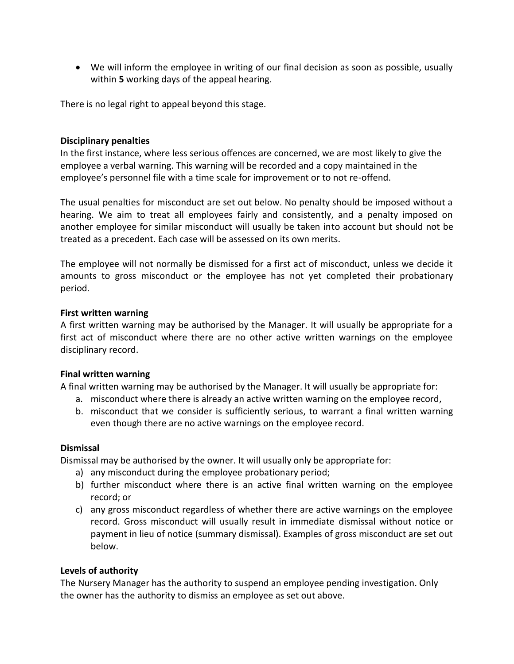• We will inform the employee in writing of our final decision as soon as possible, usually within **5** working days of the appeal hearing.

There is no legal right to appeal beyond this stage.

## **Disciplinary penalties**

In the first instance, where less serious offences are concerned, we are most likely to give the employee a verbal warning. This warning will be recorded and a copy maintained in the employee's personnel file with a time scale for improvement or to not re-offend.

The usual penalties for misconduct are set out below. No penalty should be imposed without a hearing. We aim to treat all employees fairly and consistently, and a penalty imposed on another employee for similar misconduct will usually be taken into account but should not be treated as a precedent. Each case will be assessed on its own merits.

The employee will not normally be dismissed for a first act of misconduct, unless we decide it amounts to gross misconduct or the employee has not yet completed their probationary period.

#### **First written warning**

A first written warning may be authorised by the Manager. It will usually be appropriate for a first act of misconduct where there are no other active written warnings on the employee disciplinary record.

## **Final written warning**

A final written warning may be authorised by the Manager. It will usually be appropriate for:

- a. misconduct where there is already an active written warning on the employee record,
- b. misconduct that we consider is sufficiently serious, to warrant a final written warning even though there are no active warnings on the employee record.

#### **Dismissal**

Dismissal may be authorised by the owner. It will usually only be appropriate for:

- a) any misconduct during the employee probationary period;
- b) further misconduct where there is an active final written warning on the employee record; or
- c) any gross misconduct regardless of whether there are active warnings on the employee record. Gross misconduct will usually result in immediate dismissal without notice or payment in lieu of notice (summary dismissal). Examples of gross misconduct are set out below.

## **Levels of authority**

The Nursery Manager has the authority to suspend an employee pending investigation. Only the owner has the authority to dismiss an employee as set out above.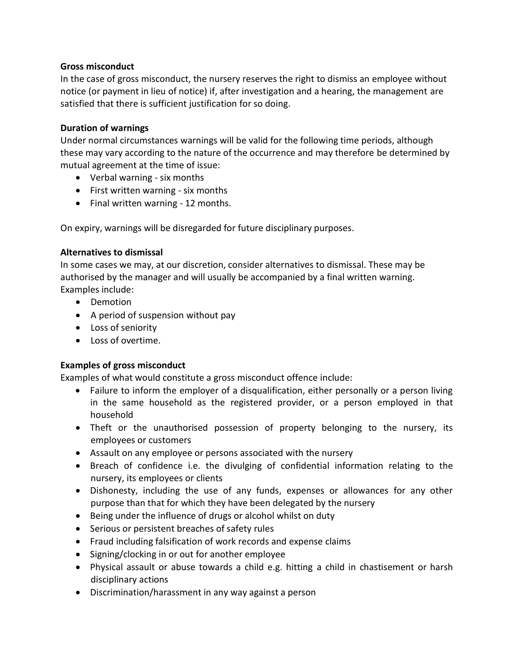## **Gross misconduct**

In the case of gross misconduct, the nursery reserves the right to dismiss an employee without notice (or payment in lieu of notice) if, after investigation and a hearing, the management are satisfied that there is sufficient justification for so doing.

## **Duration of warnings**

Under normal circumstances warnings will be valid for the following time periods, although these may vary according to the nature of the occurrence and may therefore be determined by mutual agreement at the time of issue:

- Verbal warning six months
- First written warning six months
- Final written warning 12 months.

On expiry, warnings will be disregarded for future disciplinary purposes.

# **Alternatives to dismissal**

In some cases we may, at our discretion, consider alternatives to dismissal. These may be authorised by the manager and will usually be accompanied by a final written warning. Examples include:

- Demotion
- A period of suspension without pay
- Loss of seniority
- Loss of overtime.

# **Examples of gross misconduct**

Examples of what would constitute a gross misconduct offence include:

- Failure to inform the employer of a disqualification, either personally or a person living in the same household as the registered provider, or a person employed in that household
- Theft or the unauthorised possession of property belonging to the nursery, its employees or customers
- Assault on any employee or persons associated with the nursery
- Breach of confidence i.e. the divulging of confidential information relating to the nursery, its employees or clients
- Dishonesty, including the use of any funds, expenses or allowances for any other purpose than that for which they have been delegated by the nursery
- Being under the influence of drugs or alcohol whilst on duty
- Serious or persistent breaches of safety rules
- Fraud including falsification of work records and expense claims
- Signing/clocking in or out for another employee
- Physical assault or abuse towards a child e.g. hitting a child in chastisement or harsh disciplinary actions
- Discrimination/harassment in any way against a person